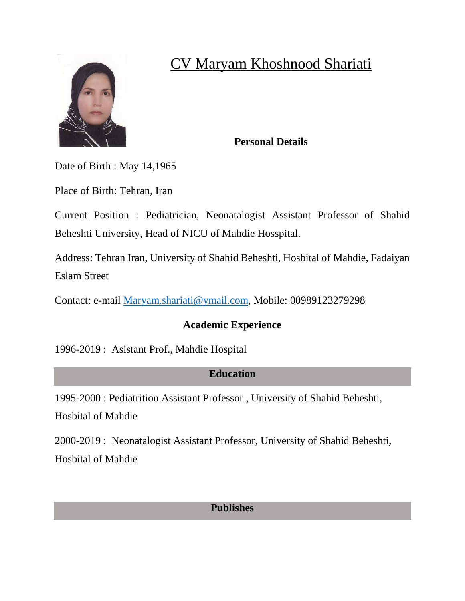

# CV Maryam Khoshnood Shariati

#### **Personal Details**

Date of Birth : May 14,1965

Place of Birth: Tehran, Iran

Current Position : Pediatrician, Neonatalogist Assistant Professor of Shahid Beheshti University, Head of NICU of Mahdie Hosspital.

Address: Tehran Iran, University of Shahid Beheshti, Hosbital of Mahdie, Fadaiyan Eslam Street

Contact: e-mail [Maryam.shariati@ymail.com,](mailto:Maryam.shariati@ymail.com) Mobile: 00989123279298

## **Academic Experience**

1996-2019 : Asistant Prof., Mahdie Hospital

## **Education**

1995-2000 : Pediatrition Assistant Professor , University of Shahid Beheshti, Hosbital of Mahdie

2000-2019 : Neonatalogist Assistant Professor, University of Shahid Beheshti, Hosbital of Mahdie

## **Publishes**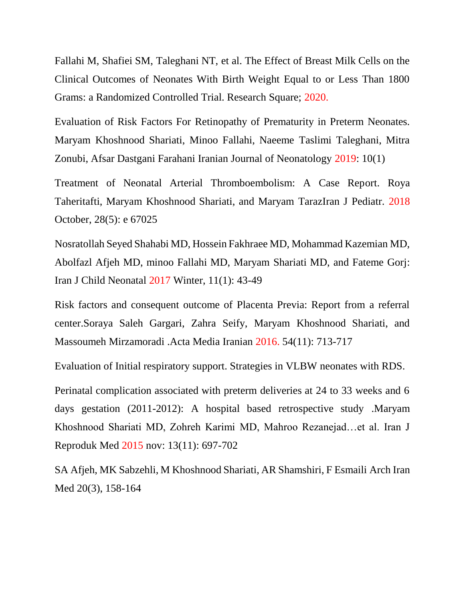Fallahi M, Shafiei SM, Taleghani NT, et al. The Effect of Breast Milk Cells on the Clinical Outcomes of Neonates With Birth Weight Equal to or Less Than 1800 Grams: a Randomized Controlled Trial. Research Square; 2020.

Evaluation of Risk Factors For Retinopathy of Prematurity in Preterm Neonates. Maryam Khoshnood Shariati, Minoo Fallahi, Naeeme Taslimi Taleghani, Mitra Zonubi, Afsar Dastgani Farahani Iranian Journal of Neonatology 2019: 10(1)

Treatment of Neonatal Arterial Thromboembolism: A Case Report. Roya Taheritafti, Maryam Khoshnood Shariati, and Maryam TarazIran J Pediatr. 2018 October, 28(5): e 67025

Nosratollah Seyed Shahabi MD, Hossein Fakhraee MD, Mohammad Kazemian MD, Abolfazl Afjeh MD, minoo Fallahi MD, Maryam Shariati MD, and Fateme Gorj: Iran J Child Neonatal 2017 Winter, 11(1): 43-49

Risk factors and consequent outcome of Placenta Previa: Report from a referral center.Soraya Saleh Gargari, Zahra Seify, Maryam Khoshnood Shariati, and Massoumeh Mirzamoradi .Acta Media Iranian 2016. 54(11): 713-717

Evaluation of Initial respiratory support. Strategies in VLBW neonates with RDS.

Perinatal complication associated with preterm deliveries at 24 to 33 weeks and 6 days gestation (2011-2012): A hospital based retrospective study .Maryam Khoshnood Shariati MD, Zohreh Karimi MD, Mahroo Rezanejad…et al. Iran J Reproduk Med 2015 nov: 13(11): 697-702

SA Afjeh, MK Sabzehli, M Khoshnood Shariati, AR Shamshiri, F Esmaili Arch Iran Med 20(3), 158-164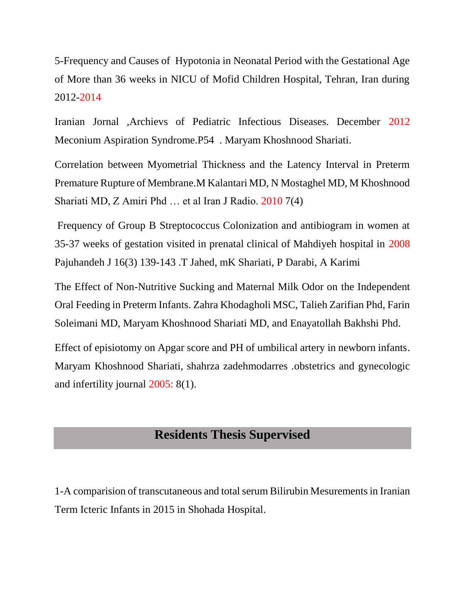5-Frequency and Causes of Hypotonia in Neonatal Period with the Gestational Age of More than 36 weeks in NICU of Mofid Children Hospital, Tehran, Iran during 2012-2014

Iranian Jornal ,Archievs of Pediatric Infectious Diseases. December 2012 Meconium Aspiration Syndrome.P54 . Maryam Khoshnood Shariati.

Correlation between Myometrial Thickness and the Latency Interval in Preterm Premature Rupture of Membrane.M Kalantari MD, N Mostaghel MD, M Khoshnood Shariati MD, Z Amiri Phd … et al Iran J Radio. 2010 7(4)

Frequency of Group B Streptococcus Colonization and antibiogram in women at 35-37 weeks of gestation visited in prenatal clinical of Mahdiyeh hospital in 2008 Pajuhandeh J 16(3) 139-143 .T Jahed, mK Shariati, P Darabi, A Karimi

The Effect of Non-Nutritive Sucking and Maternal Milk Odor on the Independent Oral Feeding in Preterm Infants. Zahra Khodagholi MSC, Talieh Zarifian Phd, Farin Soleimani MD, Maryam Khoshnood Shariati MD, and Enayatollah Bakhshi Phd.

Effect of episiotomy on Apgar score and PH of umbilical artery in newborn infants. Maryam Khoshnood Shariati, shahrza zadehmodarres .obstetrics and gynecologic and infertility journal 2005: 8(1).

#### **Residents Thesis Supervised**

1-A comparision of transcutaneous and total serum Bilirubin Mesurements in Iranian Term Icteric Infants in 2015 in Shohada Hospital.